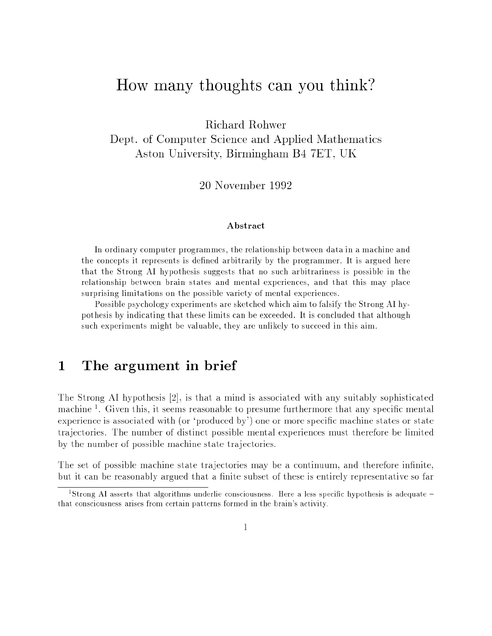# How many thoughts can you think?

Richard Rohwer

Dept. of Computer Science and Applied Mathematics Aston University, Birmingham B4 7ET, UK

<sup>20</sup> November <sup>1992</sup>

#### Abstract

In ordinary computer programmes, the relationship between data in a machine and the concepts it represents is defined arbitrarily by the programmer. It is argued here that the Strong AI hypothesis suggests that no such arbitrariness is possible in the relationship between brain states and mental experiences, and that this may place surprising limitations on the possible variety of mental experiences.

Possible psychology experiments are sketched which aim to falsify the Strong AI hypothesis by indicating that these limits can be exceeded. It is concluded that although such experiments might be valuable, they are unlikely to succeed in this aim.

#### The argument in brief  $\mathbf 1$

The Strong AI hypothesis [2], is that <sup>a</sup> mind is associated with any suitably sophisticated machine <sup>1</sup> . Given this, it seems reasonable to presume furthermore that any specic mental experience is associated with (or 'produced by') one or more specific machine states or state tra jectories. The number of distinct possible mental experiences must therefore be limited by the number of possible machine state tra jectories.

The set of possible machine state trajectories may be a continuum, and therefore infinite, but it can be reasonably argued that a finite subset of these is entirely representative so far

totrong A1 asserts that algorithms underlie consciousness. Here a less specific hypothesis is adequate – that consciousness arises from certain patterns formed in the brain's activity.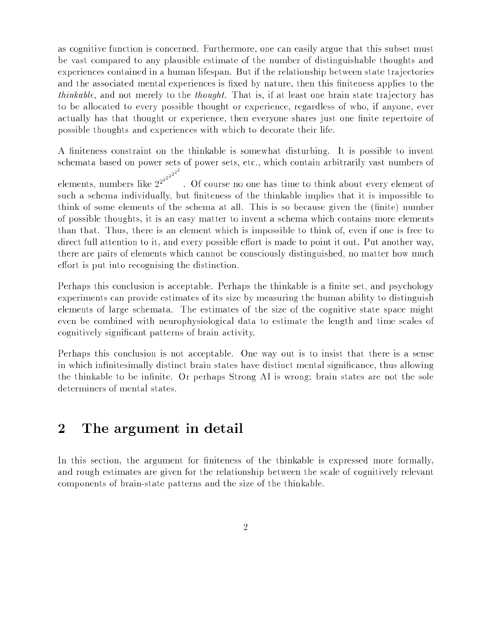as cognitive function is concerned. Furthermore, one can easily argue that this subset must be vast compared to any plausible estimate of the number of distinguishable thoughts and experiences contained in a human lifespan. But if the relationship between state tra jectories and the associated mental experiences is fixed by nature, then this finiteness applies to the *thinkable*, and not merely to the *thought*. That is, if at least one brain state trajectory has to be allocated to every possible thought or experience, regardless of who, if anyone, ever actually has that thought or experience, then everyone shares just one finite repertoire of possible thoughts and experiences with which to decorate their life.

A finiteness constraint on the thinkable is somewhat disturbing. It is possible to invent schemata based on power sets of power sets, etc., which contain arbitrarily vast numbers of

elements, numbers like  $2^{2^{2^{2^{2^{2}}}}}$ . Of course no one has time to think about every element of such a schema individually, but finiteness of the thinkable implies that it is impossible to think of some elements of the schema at all. This is so because given the (finite) number of possible thoughts, it is an easy matter to invent a schema which contains more elements than that. Thus, there is an element which is impossible to think of, even if one is free to direct full attention to it, and every possible effort is made to point it out. Put another way, there are pairs of elements which cannot be consciously distinguished, no matter how much effort is put into recognising the distinction.

Perhaps this conclusion is acceptable. Perhaps the thinkable is a finite set, and psychology experiments can provide estimates of its size by measuring the human ability to distinguish elements of large schemata. The estimates of the size of the cognitive state space might even be combined with neurophysiological data to estimate the length and time scales of cognitively signicant patterns of brain activity.

Perhaps this conclusion is not acceptable. One way out is to insist that there is <sup>a</sup> sense in which infinitesimally distinct brain states have distinct mental significance, thus allowing the thinkable to be infinite. Or perhaps Strong AI is wrong; brain states are not the sole determiners of mental states.

#### $\overline{2}$ The argument in detail

In this section, the argument for finiteness of the thinkable is expressed more formally. and rough estimates are given for the relationship between the scale of cognitively relevant components of brain-state patterns and the size of the thinkable.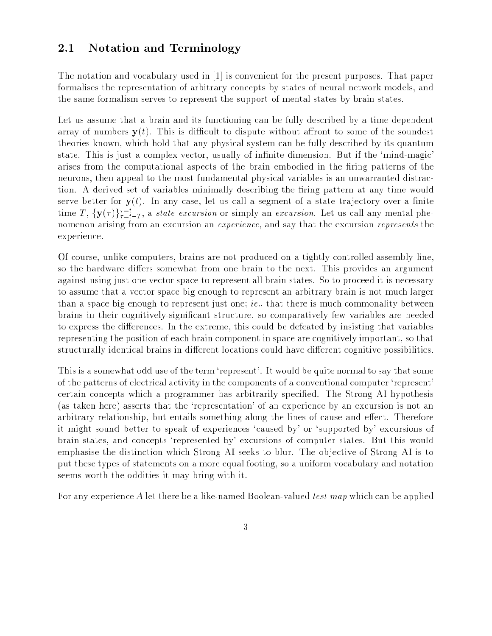### 2.1 Notation and Terminology

The notation and vocabulary used in [1] is convenient for the present purposes. That paper formalises the representation of arbitrary concepts by states of neural network models, and the same formalism serves to represent the support of mental states by brain states.

Let us assume that <sup>a</sup> brain and its functioning can be fully described by <sup>a</sup> time-dependent array of numbers  $y(t)$ . This is difficult to dispute without affront to some of the soundest theories known, which hold that any physical system can be fully described by its quantum state. This is just a complex vector, usually of infinite dimension. But if the 'mind-magic' arises from the computational aspects of the brain embodied in the firing patterns of the neurons, then appeal to the most fundamental physical variables is an unwarranted distraction. A derived set of variables minimally describing the firing pattern at any time would serve better for  $y(t)$ . In any case, let us call a segment of a state trajectory over a finite time T,  $\{y(\tau)\}_{\tau=t-T}^{\tau}$ , a *state excursion* or simply an *excursion*. Let us call any mental phenomenon arising from an excursion an *experience*, and say that the excursion *represents* the experience.

Of course, unlike computers, brains are not produced on <sup>a</sup> tightly-controlled assembly line, so the hardware differs somewhat from one brain to the next. This provides an argument against using just one vector space to represent all brain states. So to proceed it is necessary to assume that a vector space big enough to represent an arbitrary brain is not much larger than a space big enough to represent just one; *ie.*, that there is much commonality between brains in their cognitively-signicant structure, so comparatively few variables are needed to express the differences. In the extreme, this could be defeated by insisting that variables representing the position of each brain component in space are cognitively important, so that structurally identical brains in different locations could have different cognitive possibilities.

This is a somewhat odd use of the term 'represent'. It would be quite normal to say that some of the patterns of electrical activity in the components of a conventional computer `represent' certain concepts which <sup>a</sup> programmer has arbitrarily specied. The Strong AI hypothesis (as taken here) asserts that the `representation' of an experience by an excursion is not an arbitrary relationship, but entails something along the lines of cause and effect. Therefore it might sound better to speak of experiences `caused by' or `supported by' excursions of brain states, and concepts `represented by' excursions of computer states. But this would emphasise the distinction which Strong AI seeks to blur. The objective of Strong AI is to put these types of statements on a more equal footing, so a uniform vocabulary and notation seems worth the oddities it may bring with it.

For any experience A let there be a like-named Boolean-valued *test map* which can be applied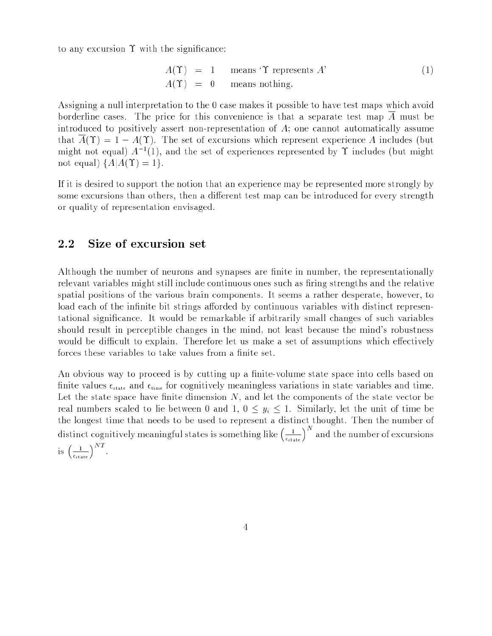to any excursion  $\Upsilon$  with the significance:

$$
A(\Upsilon) = 1 \quad \text{means } \Upsilon \text{ represents } A' \tag{1}
$$
  

$$
A(\Upsilon) = 0 \quad \text{means nothing.}
$$

Assigning a null interpretation to the 0 case makes it possible to have test maps which avoid borderline cases. The price for this convenience is that <sup>a</sup> separate test map <sup>A</sup> must be introduced to positively assert non-representation of A; one cannot automatically assume that  $\overline{A}(Y) = 1 - A(Y)$ . The set of excursions which represent experience A includes (but might not equal)  $A^{-1}(1)$ , and the set of experiences represented by T includes (but might not equal)  $\{A|A(\Upsilon) = 1\}.$ 

If it is desired to support the notion that an experience may be represented more strongly by some excursions than others, then a different test map can be introduced for every strength or quality of representation envisaged.

### 2.2 Size of excursion set

Although the number of neurons and synapses are finite in number, the representationally relevant variables might still include continuous ones such as firing strengths and the relative spatial positions of the various brain components. It seems <sup>a</sup> rather desperate, however, to load each of the infinite bit strings afforded by continuous variables with distinct representational signicance. It would be remarkable if arbitrarily small changes of such variables should result in perceptible changes in the mind, not least because the mind's robustness would be difficult to explain. Therefore let us make a set of assumptions which effectively forces these variables to take values from a finite set.

An obvious way to proceed is by cutting up a finite-volume state space into cells based on finite values  $\epsilon_{\text{state}}$  and  $\epsilon_{\text{time}}$  for cognitively meaningless variations in state variables and time. Let the state space have finite dimension  $N$ , and let the components of the state vector be real numbers scaled to lie between 0 and 1,  $0 \leq y_i \leq 1$ . Similarly, let the unit of time be the longest time that needs to be used to represent a distinct thought. Then the number of distinct cognitively meaningful states is something like  $\left(\frac{1}{\epsilon_{\text{state}}}\right)^{N}$  and the number of excursions is  $\left(\frac{1}{\epsilon_{\text{state}}}\right)^{N}$ .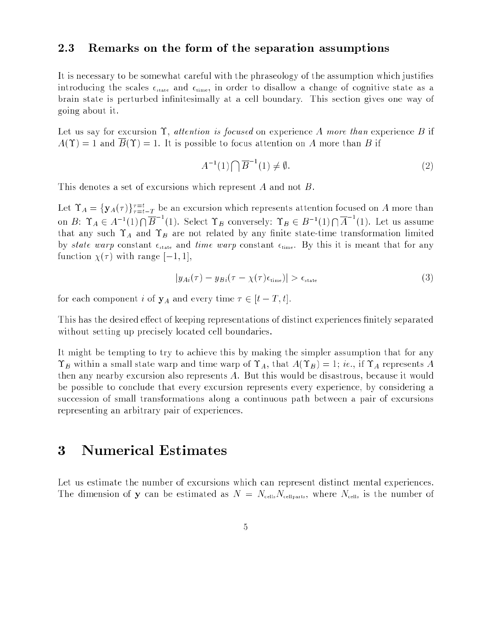#### 2.3 Remarks on the form of the separation assumptions

It is necessary to be somewhat careful with the phraseology of the assumption which justies introducing the scales  $\epsilon_{\text{state}}$  and  $\epsilon_{\text{time}}$ , in order to disallow a change of cognitive state as a brain state is perturbed innitesimally at <sup>a</sup> cell boundary. This section gives one way of going about it.

Let us say for excursion  $\Upsilon$ , attention is focused on experience A more than experience B if  $A(\Upsilon) = 1$  and  $B(\Upsilon) = 1$ . It is possible to focus attention on A more than B if

$$
A^{-1}(1)\bigcap \overline{B}^{-1}(1) \neq \emptyset. \tag{2}
$$

This denotes a set of excursions which represent A and not B.

Let  $A = \{ \mathbf{y}_A(\tau) \}_{\tau=t-T}^T$  be an excursion which represents attention focused on A more than on  $B: \Upsilon_A \in A^{-1}(1) \cap B^{-1}(1)$ . Select  $\Upsilon_B$  conversely:  $\Upsilon_B \in B^{-1}(1) \cap A^{-1}(1)$ . Let us assume that any such  $\Upsilon_A$  and  $\Upsilon_B$  are not related by any finite state-time transformation limited by state warp constant  $\epsilon_{\text{state}}$  and time warp constant  $\epsilon_{\text{time}}$ . By this it is meant that for any function  $\chi(\tau)$  with range  $[-1, 1]$ ,

$$
|y_{Ai}(\tau) - y_{Bi}(\tau - \chi(\tau)\epsilon_{\text{time}})| > \epsilon_{\text{state}}
$$
\n(3)

for each component i of  $y_A$  and every time  $\tau \in [t - T, t]$ .

This has the desired effect of keeping representations of distinct experiences finitely separated without setting up precisely located cell boundaries.

It might be tempting to try to achieve this by making the simpler assumption that for any  $\Upsilon_B$  within a small state warp and time warp of  $\Upsilon_A$ , that  $A(\Upsilon_B) = 1$ ; ie., if  $\Upsilon_A$  represents A then any nearby excursion also represents A. But this would be disastrous, because it would be possible to conclude that every excursion represents every experience, by considering <sup>a</sup> succession of small transformations along <sup>a</sup> continuous path between <sup>a</sup> pair of excursions representing an arbitrary pair of experiences.

# 3 Numerical Estimates

Let us estimate the number of excursions which can represent distinct mental experiences. The dimension of y can be estimated as  $N = N_{\text{cells}} N_{\text{cells}}$ , where  $N_{\text{cells}}$  is the number of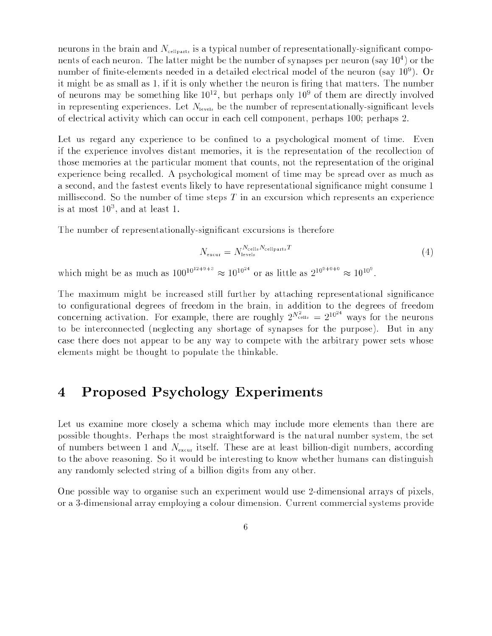neurons in the brain and  $N_{\text{cellparts}}$  is a typical number of representationally-significant components of each neuron. The latter might be the number of synapses per neuron (say 104 ) or the number of nite-elements needed in <sup>a</sup> detailed electrical model of the neuron (say 109 ). Or it might be as small as 1, if it is only whether the neuron is firing that matters. The number of neurons may be something like 10^2, but perhaps only 10° of them are directly involved in representing experiences. Let  $N_{\text{levels}}$  be the number of representationally-significant levels of electrical activity which can occur in each cell component, perhaps 100; perhaps 2.

Let us regard any experience to be confined to a psychological moment of time. Even if the experience involves distant memories, it is the representation of the recollection of those memories at the particular moment that counts, not the representation of the original experience being recalled. <sup>A</sup> psychological moment of time may be spread over as much as a second, and the fastest events likely to have representational signicance might consume 1 millisecond. So the number of time steps  $T$  in an excursion which represents an experience is at most 103 , and at least 1.

The number of representationally-signicant excursions is therefore

$$
N_{\text{excur}} = N_{\text{levels}}^{N_{\text{cells}} N_{\text{cell parts}} T} \tag{4}
$$

which might be as much as  $100^{10^{22}+310^{22}} \approx 10^{10^{22}}$  or as little as  $2^{10^{21}+31^{20}} \approx 10^{10^{2}}$ .

The maximum might be increased still further by attaching representational significance to congurational degrees of freedom in the brain, in addition to the degrees of freedom concerning activation. For example, there are roughly  $2^{N_{\text{cells}}} = 2^{10^{24}}$  ways for the neurons to be interconnected (neglecting any shortage of synapses for the purpose). But in any case there does not appear to be any way to compete with the arbitrary power sets whose elements might be thought to populate the thinkable.

## 4 Proposed Psychology Experiments

Let us examine more closely <sup>a</sup> schema which may include more elements than there are possible thoughts. Perhaps the most straightforward is the natural number system, the set of numbers between 1 and  $N_{\text{exym}}$  itself. These are at least billion-digit numbers, according to the above reasoning. So it would be interesting to know whether humans can distinguish any randomly selected string of a billion digits from any other.

One possible way to organise such an experiment would use 2-dimensional arrays of pixels, or a 3-dimensional array employing a colour dimension. Current commercial systems provide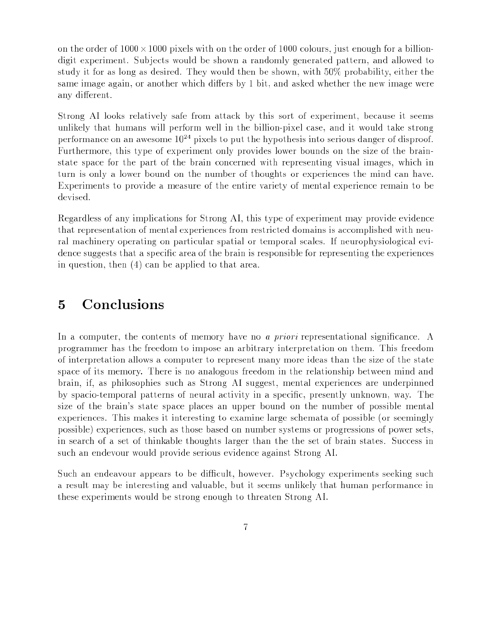and the order of the order order heaten. He also at the order of the order of the colours, in the order of the digit experiment. Sub jects would be shown <sup>a</sup> randomly generated pattern, and allowed to study it for as long as desired. They would then be shown, with 50% probability, either the same image again, or another which differs by 1 bit, and asked whether the new image were any different.

Strong AI looks relatively safe from attack by this sort of experiment, because it seems unlikely that humans will perform well in the billion-pixel case, and it would take strong performance on an awesome  $10^{24}$  pixels to put the hypothesis into serious danger of disproof. Furthermore, this type of experiment only provides lower bounds on the size of the brainstate space for the part of the brain concerned with representing visual images, which in turn is only <sup>a</sup> lower bound on the number of thoughts or experiences the mind can have. Experiments to provide <sup>a</sup> measure of the entire variety of mental experience remain to be devised.

Regardless of any implications for Strong AI, this type of experiment may provide evidence that representation of mental experiences from restricted domains is accomplished with neural machinery operating on particular spatial or temporal scales. If neurophysiological evidence suggests that a specific area of the brain is responsible for representing the experiences in question, then (4) can be applied to that area.

### 5 Conclusions

In a computer, the contents of memory have no *a priori* representational significance. A programmer has the freedom to impose an arbitrary interpretation on them. This freedom of interpretation allows a computer to represent many more ideas than the size of the state space of its memory. There is no analogous freedom in the relationship between mind and brain, if, as philosophies such as Strong AI suggest, mental experiences are underpinned by spacio-temporal patterns of neural activity in <sup>a</sup> specic, presently unknown, way. The size of the brain's state space places an upper bound on the number of possible mental experiences. This makes it interesting to examine large schemata of possible (or seemingly possible) experiences, such as those based on number systems or progressions of power sets, in search of <sup>a</sup> set of thinkable thoughts larger than the the set of brain states. Success in such an endevour would provide serious evidence against Strong AI.

Such an endeavour appears to be difficult, however. Psychology experiments seeking such <sup>a</sup> result may be interesting and valuable, but it seems unlikely that human performance in these experiments would be strong enough to threaten Strong AI.